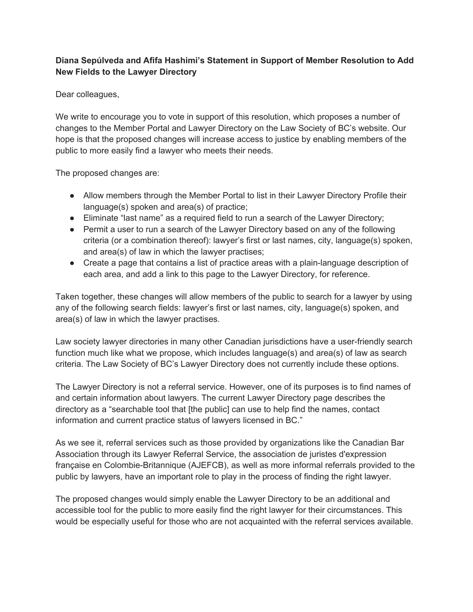## **Diana Sepúlveda and Afifa Hashimi's Statement in Support of Member Resolution to Add New Fields to the Lawyer Directory**

Dear colleagues,

We write to encourage you to vote in support of this resolution, which proposes a number of changes to the Member Portal and Lawyer Directory on the Law Society of BC's website. Our hope is that the proposed changes will increase access to justice by enabling members of the public to more easily find a lawyer who meets their needs.

The proposed changes are:

- Allow members through the Member Portal to list in their Lawyer Directory Profile their language(s) spoken and area(s) of practice;
- Eliminate "last name" as a required field to run a search of the Lawyer Directory;
- Permit a user to run a search of the Lawyer Directory based on any of the following criteria (or a combination thereof): lawyer's first or last names, city, language(s) spoken, and area(s) of law in which the lawyer practises;
- Create a page that contains a list of practice areas with a plain-language description of each area, and add a link to this page to the Lawyer Directory, for reference.

Taken together, these changes will allow members of the public to search for a lawyer by using any of the following search fields: lawyer's first or last names, city, language(s) spoken, and area(s) of law in which the lawyer practises.

Law society lawyer directories in many other Canadian jurisdictions have a user-friendly search function much like what we propose, which includes language(s) and area(s) of law as search criteria. The Law Society of BC's Lawyer Directory does not currently include these options.

The Lawyer Directory is not a referral service. However, one of its purposes is to find names of and certain information about lawyers. The current Lawyer Directory page describes the directory as a "searchable tool that [the public] can use to help find the names, contact information and current practice status of lawyers licensed in BC."

As we see it, referral services such as those provided by organizations like the Canadian Bar Association through its Lawyer Referral Service, the association de juristes d'expression française en Colombie-Britannique (AJEFCB), as well as more informal referrals provided to the public by lawyers, have an important role to play in the process of finding the right lawyer.

The proposed changes would simply enable the Lawyer Directory to be an additional and accessible tool for the public to more easily find the right lawyer for their circumstances. This would be especially useful for those who are not acquainted with the referral services available.